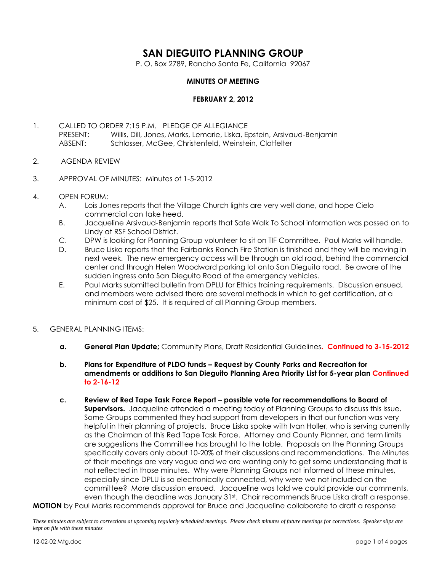# **SAN DIEGUITO PLANNING GROUP**

P. O. Box 2789, Rancho Santa Fe, California 92067

### **MINUTES OF MEETING**

### **FEBRUARY 2, 2012**

- 1. CALLED TO ORDER 7:15 P.M. PLEDGE OF ALLEGIANCE PRESENT: Willis, Dill, Jones, Marks, Lemarie, Liska, Epstein, Arsivaud-Benjamin ABSENT: Schlosser, McGee, Christenfeld, Weinstein, Clotfelter
- 2. AGENDA REVIEW
- 3. APPROVAL OF MINUTES: Minutes of 1-5-2012
- 4. OPEN FORUM:
	- A. Lois Jones reports that the Village Church lights are very well done, and hope Cielo commercial can take heed.
	- B. Jacqueline Arsivaud-Benjamin reports that Safe Walk To School information was passed on to Lindy at RSF School District.
	- C. DPW is looking for Planning Group volunteer to sit on TIF Committee. Paul Marks will handle.
	- D. Bruce Liska reports that the Fairbanks Ranch Fire Station is finished and they will be moving in next week. The new emergency access will be through an old road, behind the commercial center and through Helen Woodward parking lot onto San Dieguito road. Be aware of the sudden ingress onto San Dieguito Road of the emergency vehicles.
	- E. Paul Marks submitted bulletin from DPLU for Ethics training requirements. Discussion ensued, and members were advised there are several methods in which to get certification, at a minimum cost of \$25. It is required of all Planning Group members.
- 5. GENERAL PLANNING ITEMS:
	- **a. General Plan Update;** Community Plans, Draft Residential Guidelines**. Continued to 3-15-2012**
	- **b. Plans for Expenditure of PLDO funds – Request by County Parks and Recreation for amendments or additions to San Dieguito Planning Area Priority List for 5-year plan Continued to 2-16-12**
- **c. Review of Red Tape Task Force Report – possible vote for recommendations to Board of Supervisors.** Jacqueline attended a meeting today of Planning Groups to discuss this issue. Some Groups commented they had support from developers in that our function was very helpful in their planning of projects. Bruce Liska spoke with Ivan Holler, who is serving currently as the Chairman of this Red Tape Task Force. Attorney and County Planner, and term limits are suggestions the Committee has brought to the table. Proposals on the Planning Groups specifically covers only about 10-20% of their discussions and recommendations. The Minutes of their meetings are very vague and we are wanting only to get some understanding that is not reflected in those minutes. Why were Planning Groups not informed of these minutes, especially since DPLU is so electronically connected, why were we not included on the committee? More discussion ensued. Jacqueline was told we could provide our comments, even though the deadline was January 31st. Chair recommends Bruce Liska draft a response. **MOTION** by Paul Marks recommends approval for Bruce and Jacqueline collaborate to draft a response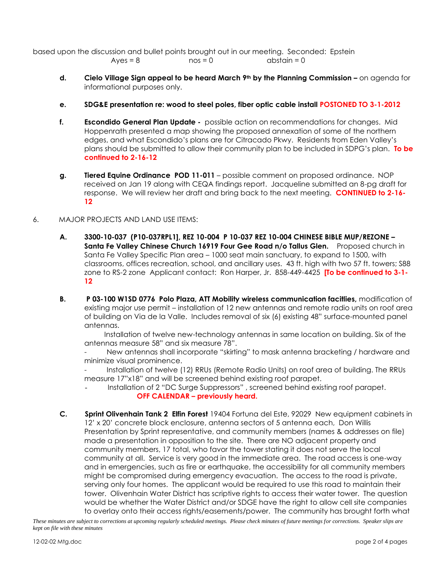based upon the discussion and bullet points brought out in our meeting. Seconded: Epstein  $Ayes = 8$  nos = 0 abstain = 0

- **d. Cielo Village Sign appeal to be heard March 9th by the Planning Commission –** on agenda for informational purposes only.
- **e. SDG&E presentation re: wood to steel poles, fiber optic cable install POSTONED TO 3-1-2012**
- **f. Escondido General Plan Update -** possible action on recommendations for changes. Mid Hoppenrath presented a map showing the proposed annexation of some of the northern edges, and what Escondido's plans are for Citracado Pkwy. Residents from Eden Valley's plans should be submitted to allow their community plan to be included in SDPG's plan. **To be continued to 2-16-12**
- **g. Tiered Equine Ordinance POD 11-011** possible comment on proposed ordinance. NOP received on Jan 19 along with CEQA findings report. Jacqueline submitted an 8-pg draft for response. We will review her draft and bring back to the next meeting. **CONTINUED to 2-16- 12**
- 6. MAJOR PROJECTS AND LAND USE ITEMS:
	- **A. 3300-10-037 (P10-037RPL1], REZ 10-004 P 10-037 REZ 10-004 CHINESE BIBLE MUP/REZONE – Santa Fe Valley Chinese Church 16919 Four Gee Road n/o Tallus Glen.** Proposed church in Santa Fe Valley Specific Plan area – 1000 seat main sanctuary, to expand to 1500, with classrooms, offices recreation, school, and ancillary uses. 43 ft. high with two 57 ft. towers; S88 zone to RS-2 zone Applicant contact: Ron Harper, Jr. 858-449-4425 **[To be continued to 3-1- 12**
	- **B. P 03-100 W1SD 0776 Polo Plaza, ATT Mobility wireless communication facitlies,** modification of existing major use permit – installation of 12 new antennas and remote radio units on roof area of building on Via de la Valle. Includes removal of six (6) existing 48" surface-mounted panel antennas.

 Installation of twelve new-technology antennas in same location on building. Six of the antennas measure 58" and six measure 78".

New antennas shall incorporate "skirting" to mask antenna bracketing / hardware and minimize visual prominence.

- Installation of twelve (12) RRUs (Remote Radio Units) on roof area of building. The RRUs measure 17"x18" and will be screened behind existing roof parapet.

Installation of 2 "DC Surge Suppressors", screened behind existing roof parapet. **OFF CALENDAR – previously heard.**

**C. Sprint Olivenhain Tank 2 Elfin Forest** 19404 Fortuna del Este, 92029 New equipment cabinets in 12' x 20' concrete block enclosure, antenna sectors of 5 antenna each, Don Willis Presentation by Sprint representative, and community members (names & addresses on file) made a presentation in opposition to the site. There are NO adjacent property and community members, 17 total, who favor the tower stating it does not serve the local community at all. Service is very good in the immediate area. The road access is one-way and in emergencies, such as fire or earthquake, the accessibility for all community members might be compromised during emergency evacuation. The access to the road is private, serving only four homes. The applicant would be required to use this road to maintain their tower. Olivenhain Water District has scriptive rights to access their water tower. The question would be whether the Water District and/or SDGE have the right to allow cell site companies to overlay onto their access rights/easements/power. The community has brought forth what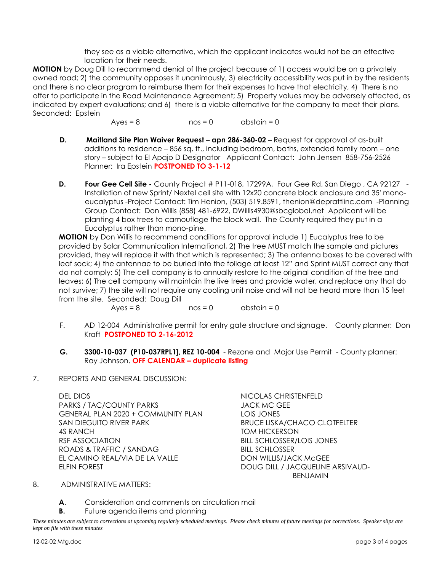they see as a viable alternative, which the applicant indicates would not be an effective location for their needs.

**MOTION** by Doug Dill to recommend denial of the project because of 1) access would be on a privately owned road; 2) the community opposes it unanimously, 3) electricity accessibility was put in by the residents and there is no clear program to reimburse them for their expenses to have that electricity, 4) There is no offer to participate in the Road Maintenance Agreement; 5) Property values may be adversely affected, as indicated by expert evaluations; and 6) there is a viable alternative for the company to meet their plans. Seconded: Epstein

 $Ayes = 8$  nos = 0 abstain = 0

- **D. Maitland Site Plan Waiver Request – apn 286-360-02 –** Request for approval of as-built additions to residence – 856 sq. ft., including bedroom, baths, extended family room – one story – subject to El Apajo D Designator Applicant Contact: John Jensen 858-756-2526 Planner: Ira Epstein **POSTPONED TO 3-1-12**
- **D. Four Gee Cell Site -** County Project # P11-018, 17299A, Four Gee Rd, San Diego , CA 92127 Installation of new Sprint/ Nextel cell site with 12x20 concrete block enclosure and 35' monoeucalyptus -Project Contact: Tim Henion, (503) 519.8591, [thenion@deprattiinc.com](mailto:thenion@deprattiinc.com) -Planning Group Contact: Don Willis (858) 481-6922, [DWillis4930@sbcglobal.net](mailto:DWillis4930@sbcglobal.net) Applicant will be planting 4 box trees to camouflage the block wall. The County required they put in a Eucalyptus rather than mono-pine.

**MOTION** by Don Willis to recommend conditions for approval include 1) Eucalyptus tree to be provided by Solar Communication International, 2) The tree MUST match the sample and pictures provided, they will replace it with that which is represented; 3) The antenna boxes to be covered with leaf sock; 4) the antennae to be buried into the foliage at least 12" and Sprint MUST correct any that do not comply; 5) The cell company is to annually restore to the original condition of the tree and leaves; 6) The cell company will maintain the live trees and provide water, and replace any that do not survive; 7) the site will not require any cooling unit noise and will not be heard more than 15 feet from the site. Seconded: Doug Dill

- $Ayes = 8$  nos = 0 abstain = 0
- F. AD 12-004 Administrative permit for entry gate structure and signage. County planner: Don Kraft **POSTPONED TO 2-16-2012**
- **G. 3300-10-037 (P10-037RPL1], REZ 10-004** Rezone and Major Use Permit County planner: Ray Johnson. **OFF CALENDAR – duplicate listing**
- 7. REPORTS AND GENERAL DISCUSSION:

DEL DIOS NICOLAS CHRISTENFELD PARKS / TAC/COUNTY PARKS JACK MC GEE GENERAL PLAN 2020 + COMMUNITY PLAN LOIS JONES SAN DIEGUITO RIVER PARK BRUCE LISKA/CHACO CLOTFELTER 4S RANCH TOM HICKERSON RSF ASSOCIATION BILL SCHLOSSER/LOIS JONES ROADS & TRAFFIC / SANDAG BILL SCHLOSSER EL CAMINO REAL/VIA DE LA VALLE DON WILLIS/JACK McGEE ELFIN FOREST DOUG DILL / JACQUELINE ARSIVAUD-

BENJAMIN

### 8. ADMINISTRATIVE MATTERS:

**A**. Consideration and comments on circulation mail

**B.** Future agenda items and planning